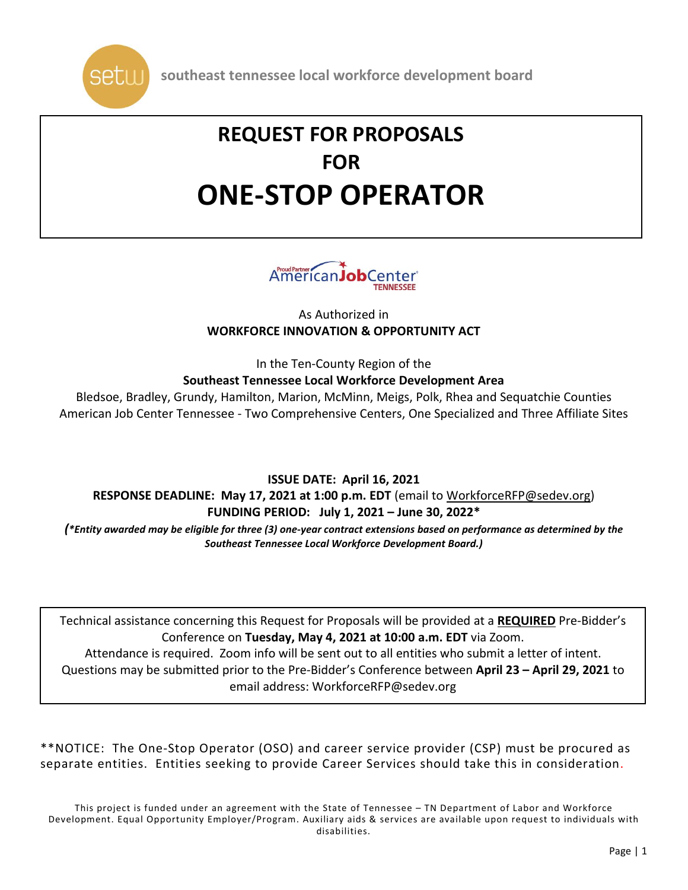

# **REQUEST FOR PROPOSALS FOR ONE-STOP OPERATOR**



As Authorized in **WORKFORCE INNOVATION & OPPORTUNITY ACT**

In the Ten-County Region of the **Southeast Tennessee Local Workforce Development Area**

Bledsoe, Bradley, Grundy, Hamilton, Marion, McMinn, Meigs, Polk, Rhea and Sequatchie Counties American Job Center Tennessee - Two Comprehensive Centers, One Specialized and Three Affiliate Sites

**ISSUE DATE: April 16, 2021 RESPONSE DEADLINE: May 17, 2021 at 1:00 p.m. EDT** (email to [WorkforceRFP@sedev.org\)](mailto:WorkforceRFP@sedev.org) **FUNDING PERIOD: July 1, 2021 – June 30, 2022\***

(\*Entity awarded may be eligible for three (3) one-year contract extensions based on performance as determined by the *Southeast Tennessee Local Workforce Development Board.)*

Technical assistance concerning this Request for Proposals will be provided at a **REQUIRED** Pre-Bidder's Conference on **Tuesday, May 4, 2021 at 10:00 a.m. EDT** via Zoom.

Attendance is required. Zoom info will be sent out to all entities who submit a letter of intent. Questions may be submitted prior to the Pre-Bidder's Conference between **April 23 – April 29, 2021** to email address: WorkforceRFP@sedev.org

\*\*NOTICE: The One-Stop Operator (OSO) and career service provider (CSP) must be procured as separate entities. Entities seeking to provide Career Services should take this in consideration.

This project is funded under an agreement with the State of Tennessee – TN Department of Labor and Workforce Development. Equal Opportunity Employer/Program. Auxiliary aids & services are available upon request to individuals with disabilities.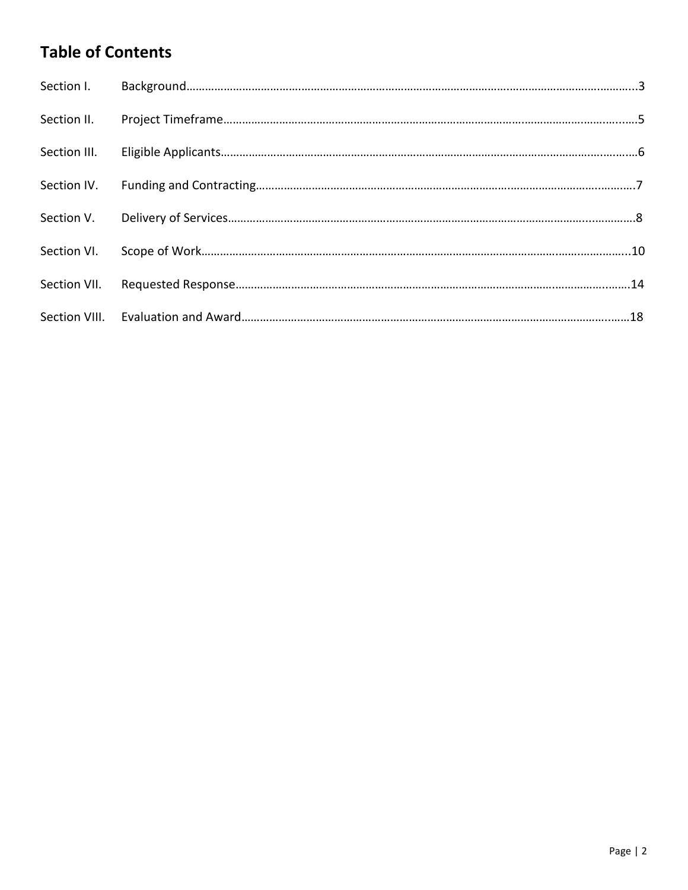## **Table of Contents**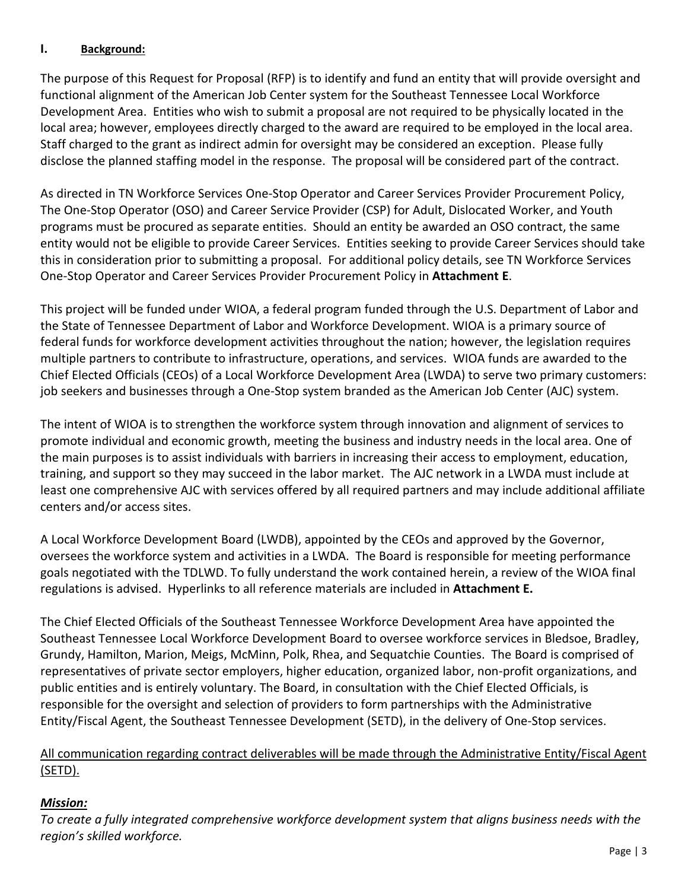## **I. Background:**

The purpose of this Request for Proposal (RFP) is to identify and fund an entity that will provide oversight and functional alignment of the American Job Center system for the Southeast Tennessee Local Workforce Development Area. Entities who wish to submit a proposal are not required to be physically located in the local area; however, employees directly charged to the award are required to be employed in the local area. Staff charged to the grant as indirect admin for oversight may be considered an exception. Please fully disclose the planned staffing model in the response. The proposal will be considered part of the contract.

As directed in TN Workforce Services One-Stop Operator and Career Services Provider Procurement Policy, The One-Stop Operator (OSO) and Career Service Provider (CSP) for Adult, Dislocated Worker, and Youth programs must be procured as separate entities. Should an entity be awarded an OSO contract, the same entity would not be eligible to provide Career Services. Entities seeking to provide Career Services should take this in consideration prior to submitting a proposal. For additional policy details, see TN Workforce Services One-Stop Operator and Career Services Provider Procurement Policy in **Attachment E**.

This project will be funded under WIOA, a federal program funded through the U.S. Department of Labor and the State of Tennessee Department of Labor and Workforce Development. WIOA is a primary source of federal funds for workforce development activities throughout the nation; however, the legislation requires multiple partners to contribute to infrastructure, operations, and services. WIOA funds are awarded to the Chief Elected Officials (CEOs) of a Local Workforce Development Area (LWDA) to serve two primary customers: job seekers and businesses through a One-Stop system branded as the American Job Center (AJC) system.

The intent of WIOA is to strengthen the workforce system through innovation and alignment of services to promote individual and economic growth, meeting the business and industry needs in the local area. One of the main purposes is to assist individuals with barriers in increasing their access to employment, education, training, and support so they may succeed in the labor market. The AJC network in a LWDA must include at least one comprehensive AJC with services offered by all required partners and may include additional affiliate centers and/or access sites.

A Local Workforce Development Board (LWDB), appointed by the CEOs and approved by the Governor, oversees the workforce system and activities in a LWDA. The Board is responsible for meeting performance goals negotiated with the TDLWD. To fully understand the work contained herein, a review of the WIOA final regulations is advised. Hyperlinks to all reference materials are included in **Attachment E.**

The Chief Elected Officials of the Southeast Tennessee Workforce Development Area have appointed the Southeast Tennessee Local Workforce Development Board to oversee workforce services in Bledsoe, Bradley, Grundy, Hamilton, Marion, Meigs, McMinn, Polk, Rhea, and Sequatchie Counties. The Board is comprised of representatives of private sector employers, higher education, organized labor, non-profit organizations, and public entities and is entirely voluntary. The Board, in consultation with the Chief Elected Officials, is responsible for the oversight and selection of providers to form partnerships with the Administrative Entity/Fiscal Agent, the Southeast Tennessee Development (SETD), in the delivery of One-Stop services.

## All communication regarding contract deliverables will be made through the Administrative Entity/Fiscal Agent (SETD).

## *Mission:*

*To create a fully integrated comprehensive workforce development system that aligns business needs with the region's skilled workforce.*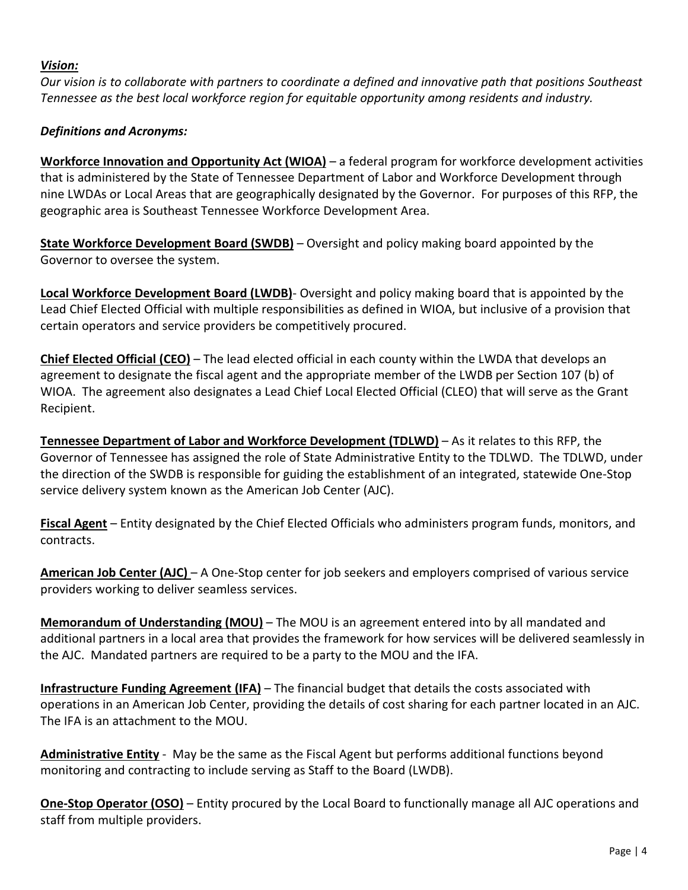#### *Vision:*

Our vision is to collaborate with partners to coordinate a defined and innovative path that positions Southeast *Tennessee as the best local workforce region for equitable opportunity among residents and industry.*

## *Definitions and Acronyms:*

**Workforce Innovation and Opportunity Act (WIOA)** – a federal program for workforce development activities that is administered by the State of Tennessee Department of Labor and Workforce Development through nine LWDAs or Local Areas that are geographically designated by the Governor. For purposes of this RFP, the geographic area is Southeast Tennessee Workforce Development Area.

**State Workforce Development Board (SWDB)** – Oversight and policy making board appointed by the Governor to oversee the system.

**Local Workforce Development Board (LWDB)**- Oversight and policy making board that is appointed by the Lead Chief Elected Official with multiple responsibilities as defined in WIOA, but inclusive of a provision that certain operators and service providers be competitively procured.

**Chief Elected Official (CEO)** – The lead elected official in each county within the LWDA that develops an agreement to designate the fiscal agent and the appropriate member of the LWDB per Section 107 (b) of WIOA. The agreement also designates a Lead Chief Local Elected Official (CLEO) that will serve as the Grant Recipient.

**Tennessee Department of Labor and Workforce Development (TDLWD)** – As it relates to this RFP, the Governor of Tennessee has assigned the role of State Administrative Entity to the TDLWD. The TDLWD, under the direction of the SWDB is responsible for guiding the establishment of an integrated, statewide One-Stop service delivery system known as the American Job Center (AJC).

**Fiscal Agent** – Entity designated by the Chief Elected Officials who administers program funds, monitors, and contracts.

**American Job Center (AJC)** – A One-Stop center for job seekers and employers comprised of various service providers working to deliver seamless services.

**Memorandum of Understanding (MOU)** – The MOU is an agreement entered into by all mandated and additional partners in a local area that provides the framework for how services will be delivered seamlessly in the AJC. Mandated partners are required to be a party to the MOU and the IFA.

**Infrastructure Funding Agreement (IFA)** – The financial budget that details the costs associated with operations in an American Job Center, providing the details of cost sharing for each partner located in an AJC. The IFA is an attachment to the MOU.

**Administrative Entity** - May be the same as the Fiscal Agent but performs additional functions beyond monitoring and contracting to include serving as Staff to the Board (LWDB).

**One-Stop Operator (OSO)** – Entity procured by the Local Board to functionally manage all AJC operations and staff from multiple providers.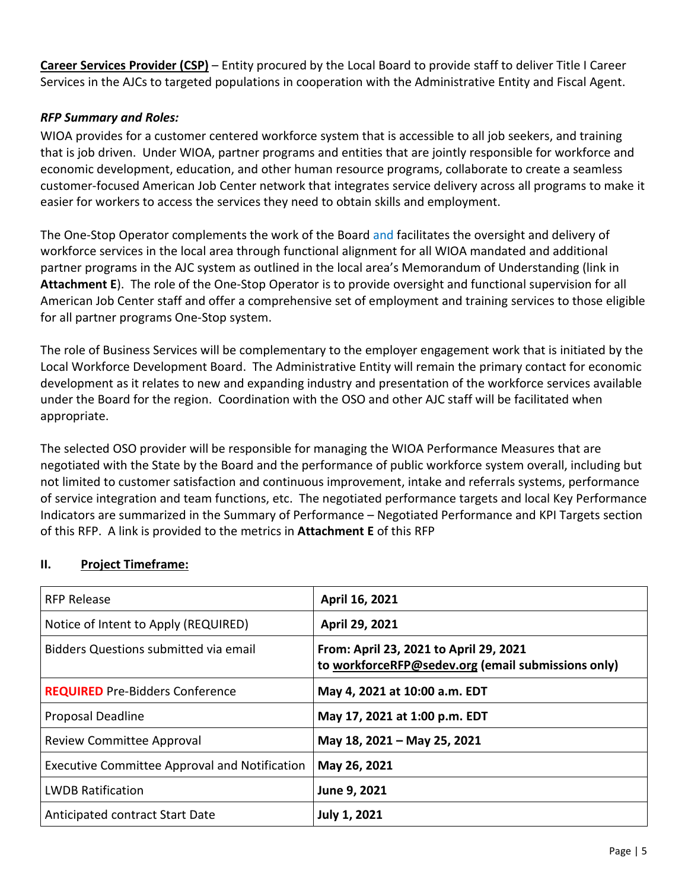**Career Services Provider (CSP)** – Entity procured by the Local Board to provide staff to deliver Title I Career Services in the AJCs to targeted populations in cooperation with the Administrative Entity and Fiscal Agent.

#### *RFP Summary and Roles:*

WIOA provides for a customer centered workforce system that is accessible to all job seekers, and training that is job driven. Under WIOA, partner programs and entities that are jointly responsible for workforce and economic development, education, and other human resource programs, collaborate to create a seamless customer-focused American Job Center network that integrates service delivery across all programs to make it easier for workers to access the services they need to obtain skills and employment.

The One-Stop Operator complements the work of the Board and facilitates the oversight and delivery of workforce services in the local area through functional alignment for all WIOA mandated and additional partner programs in the AJC system as outlined in the local area's Memorandum of Understanding (link in **Attachment E**). The role of the One-Stop Operator is to provide oversight and functional supervision for all American Job Center staff and offer a comprehensive set of employment and training services to those eligible for all partner programs One-Stop system.

The role of Business Services will be complementary to the employer engagement work that is initiated by the Local Workforce Development Board. The Administrative Entity will remain the primary contact for economic development as it relates to new and expanding industry and presentation of the workforce services available under the Board for the region. Coordination with the OSO and other AJC staff will be facilitated when appropriate.

The selected OSO provider will be responsible for managing the WIOA Performance Measures that are negotiated with the State by the Board and the performance of public workforce system overall, including but not limited to customer satisfaction and continuous improvement, intake and referrals systems, performance of service integration and team functions, etc. The negotiated performance targets and local Key Performance Indicators are summarized in the Summary of Performance – Negotiated Performance and KPI Targets section of this RFP. A link is provided to the metrics in **Attachment E** of this RFP

| <b>RFP Release</b>                            | April 16, 2021                                                                               |  |
|-----------------------------------------------|----------------------------------------------------------------------------------------------|--|
| Notice of Intent to Apply (REQUIRED)          | April 29, 2021                                                                               |  |
| Bidders Questions submitted via email         | From: April 23, 2021 to April 29, 2021<br>to workforceRFP@sedev.org (email submissions only) |  |
| <b>REQUIRED</b> Pre-Bidders Conference        | May 4, 2021 at 10:00 a.m. EDT                                                                |  |
| <b>Proposal Deadline</b>                      | May 17, 2021 at 1:00 p.m. EDT                                                                |  |
| Review Committee Approval                     | May 18, 2021 - May 25, 2021                                                                  |  |
| Executive Committee Approval and Notification | May 26, 2021                                                                                 |  |
| <b>LWDB Ratification</b>                      | June 9, 2021                                                                                 |  |
| <b>Anticipated contract Start Date</b>        | <b>July 1, 2021</b>                                                                          |  |

## **II. Project Timeframe:**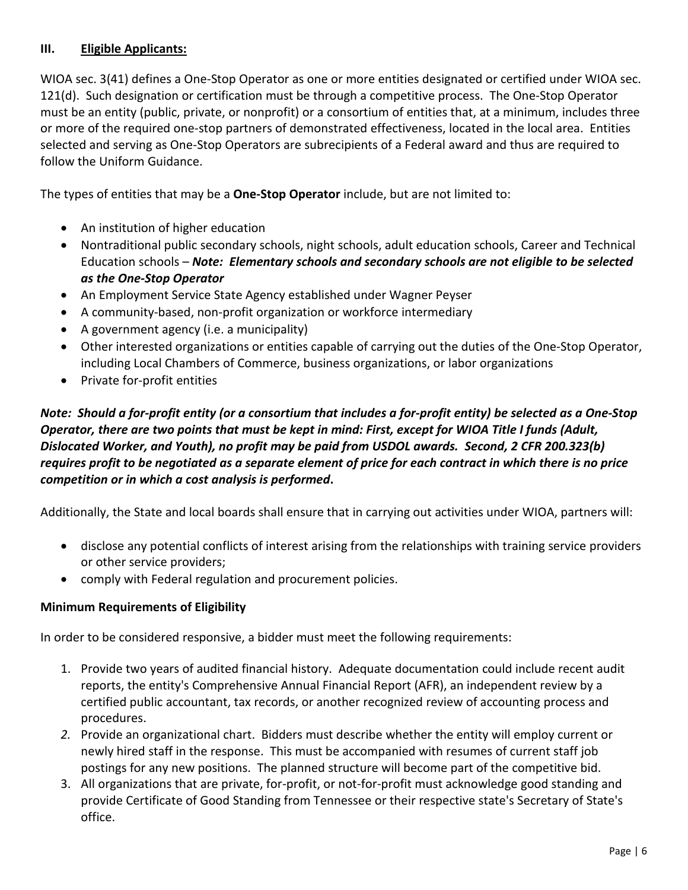## **III. Eligible Applicants:**

WIOA sec. 3(41) defines a One-Stop Operator as one or more entities designated or certified under WIOA sec. 121(d). Such designation or certification must be through a competitive process. The One-Stop Operator must be an entity (public, private, or nonprofit) or a consortium of entities that, at a minimum, includes three or more of the required one-stop partners of demonstrated effectiveness, located in the local area. Entities selected and serving as One-Stop Operators are subrecipients of a Federal award and thus are required to follow the Uniform Guidance.

The types of entities that may be a **One-Stop Operator** include, but are not limited to:

- An institution of higher education
- Nontraditional public secondary schools, night schools, adult education schools, Career and Technical Education schools – *Note: Elementary schools and secondary schools are not eligible to be selected as the One-Stop Operator*
- An Employment Service State Agency established under Wagner Peyser
- A community-based, non-profit organization or workforce intermediary
- A government agency (i.e. a municipality)
- Other interested organizations or entities capable of carrying out the duties of the One-Stop Operator, including Local Chambers of Commerce, business organizations, or labor organizations
- Private for-profit entities

Note: Should a for-profit entity (or a consortium that includes a for-profit entity) be selected as a One-Stop Operator, there are two points that must be kept in mind: First, except for WIOA Title I funds (Adult, *Dislocated Worker, and Youth), no profit may be paid from USDOL awards. Second, 2 CFR 200.323(b)* requires profit to be negotiated as a separate element of price for each contract in which there is no price *competition or in which a cost analysis is performed***.** 

Additionally, the State and local boards shall ensure that in carrying out activities under WIOA, partners will:

- disclose any potential conflicts of interest arising from the relationships with training service providers or other service providers;
- comply with Federal regulation and procurement policies.

## **Minimum Requirements of Eligibility**

In order to be considered responsive, a bidder must meet the following requirements:

- 1. Provide two years of audited financial history. Adequate documentation could include recent audit reports, the entity's Comprehensive Annual Financial Report (AFR), an independent review by a certified public accountant, tax records, or another recognized review of accounting process and procedures.
- *2.* Provide an organizational chart. Bidders must describe whether the entity will employ current or newly hired staff in the response. This must be accompanied with resumes of current staff job postings for any new positions. The planned structure will become part of the competitive bid.
- 3. All organizations that are private, for-profit, or not-for-profit must acknowledge good standing and provide Certificate of Good Standing from Tennessee or their respective state's Secretary of State's office.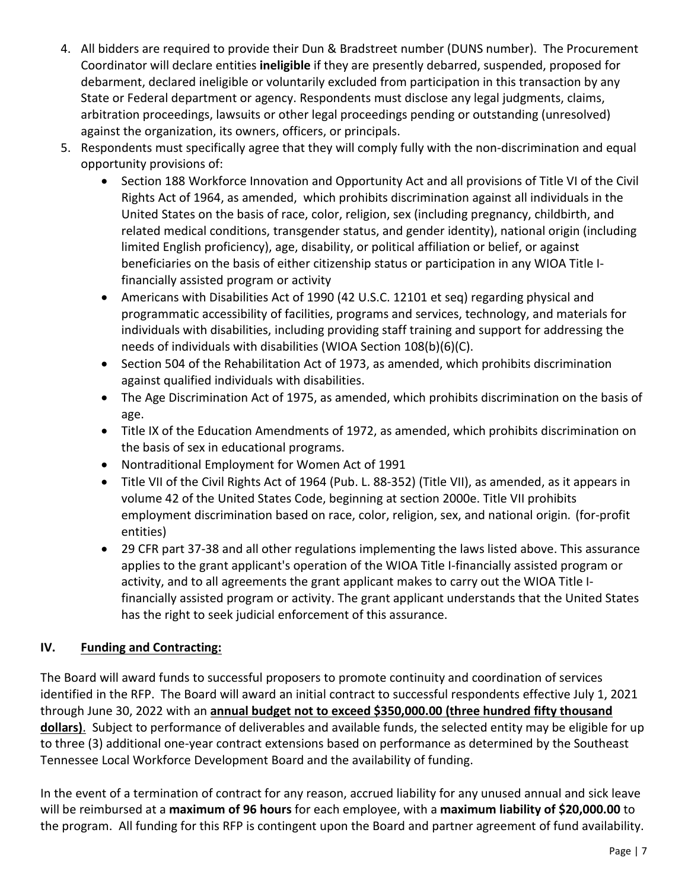- 4. All bidders are required to provide their Dun & Bradstreet number (DUNS number). The Procurement Coordinator will declare entities **ineligible** if they are presently debarred, suspended, proposed for debarment, declared ineligible or voluntarily excluded from participation in this transaction by any State or Federal department or agency. Respondents must disclose any legal judgments, claims, arbitration proceedings, lawsuits or other legal proceedings pending or outstanding (unresolved) against the organization, its owners, officers, or principals.
- 5. Respondents must specifically agree that they will comply fully with the non-discrimination and equal opportunity provisions of:
	- Section 188 Workforce Innovation and Opportunity Act and all provisions of Title VI of the Civil Rights Act of 1964, as amended, which prohibits discrimination against all individuals in the United States on the basis of race, color, religion, sex (including pregnancy, childbirth, and related medical conditions, transgender status, and gender identity), national origin (including limited English proficiency), age, disability, or political affiliation or belief, or against beneficiaries on the basis of either citizenship status or participation in any WIOA Title Ifinancially assisted program or activity
	- Americans with Disabilities Act of 1990 (42 U.S.C. 12101 et seq) regarding physical and programmatic accessibility of facilities, programs and services, technology, and materials for individuals with disabilities, including providing staff training and support for addressing the needs of individuals with disabilities (WIOA Section 108(b)(6)(C).
	- Section 504 of the Rehabilitation Act of 1973, as amended, which prohibits discrimination against qualified individuals with disabilities.
	- The Age Discrimination Act of 1975, as amended, which prohibits discrimination on the basis of age.
	- Title IX of the Education Amendments of 1972, as amended, which prohibits discrimination on the basis of sex in educational programs.
	- Nontraditional Employment for Women Act of 1991
	- Title VII of the Civil Rights Act of 1964 (Pub. L. 88-352) (Title VII), as amended, as it appears in volume 42 of the United States Code, beginning at section 2000e. Title VII prohibits employment discrimination based on race, color, religion, sex, and national origin*.* (for-profit entities)
	- 29 CFR part 37-38 and all other regulations implementing the laws listed above. This assurance applies to the grant applicant's operation of the WIOA Title I-financially assisted program or activity, and to all agreements the grant applicant makes to carry out the WIOA Title Ifinancially assisted program or activity. The grant applicant understands that the United States has the right to seek judicial enforcement of this assurance.

## **IV. Funding and Contracting:**

The Board will award funds to successful proposers to promote continuity and coordination of services identified in the RFP. The Board will award an initial contract to successful respondents effective July 1, 2021 through June 30, 2022 with an **annual budget not to exceed \$350,000.00 (three hundred fifty thousand dollars)**. Subject to performance of deliverables and available funds, the selected entity may be eligible for up to three (3) additional one-year contract extensions based on performance as determined by the Southeast Tennessee Local Workforce Development Board and the availability of funding.

In the event of a termination of contract for any reason, accrued liability for any unused annual and sick leave will be reimbursed at a **maximum of 96 hours** for each employee, with a **maximum liability of \$20,000.00** to the program. All funding for this RFP is contingent upon the Board and partner agreement of fund availability.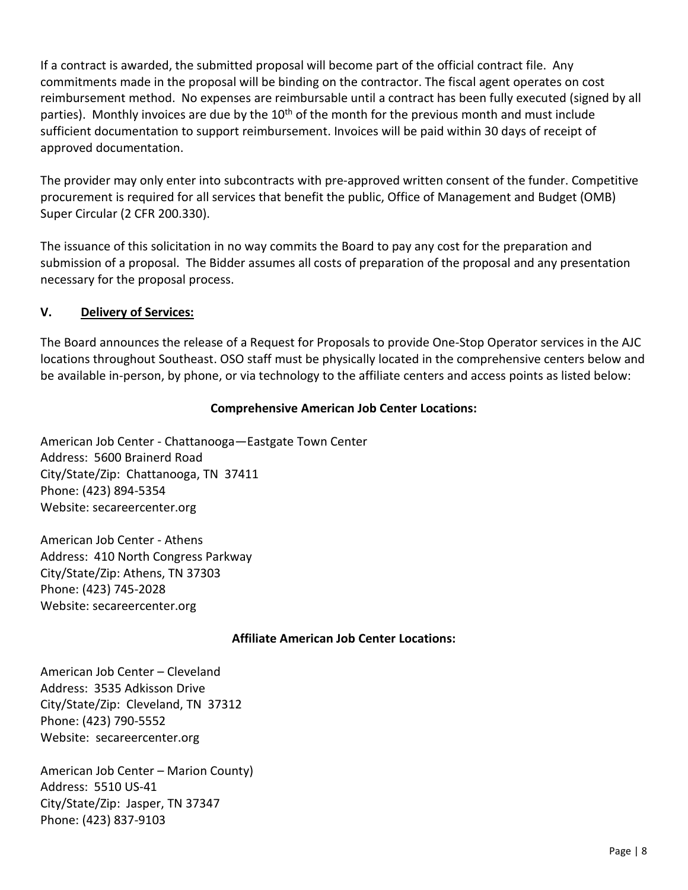If a contract is awarded, the submitted proposal will become part of the official contract file. Any commitments made in the proposal will be binding on the contractor. The fiscal agent operates on cost reimbursement method. No expenses are reimbursable until a contract has been fully executed (signed by all parties). Monthly invoices are due by the  $10<sup>th</sup>$  of the month for the previous month and must include sufficient documentation to support reimbursement. Invoices will be paid within 30 days of receipt of approved documentation.

The provider may only enter into subcontracts with pre-approved written consent of the funder. Competitive procurement is required for all services that benefit the public, Office of Management and Budget (OMB) Super Circular (2 CFR 200.330).

The issuance of this solicitation in no way commits the Board to pay any cost for the preparation and submission of a proposal. The Bidder assumes all costs of preparation of the proposal and any presentation necessary for the proposal process.

## **V. Delivery of Services:**

The Board announces the release of a Request for Proposals to provide One-Stop Operator services in the AJC locations throughout Southeast. OSO staff must be physically located in the comprehensive centers below and be available in-person, by phone, or via technology to the affiliate centers and access points as listed below:

## **Comprehensive American Job Center Locations:**

American Job Center - Chattanooga—Eastgate Town Center Address: 5600 Brainerd Road City/State/Zip: Chattanooga, TN 37411 Phone: (423) 894-5354 Website: secareercenter.org

American Job Center - Athens Address: 410 North Congress Parkway City/State/Zip: Athens, TN 37303 Phone: (423) 745-2028 Website: secareercenter.org

## **Affiliate American Job Center Locations:**

American Job Center – Cleveland Address: 3535 Adkisson Drive City/State/Zip: Cleveland, TN 37312 Phone: (423) 790-5552 Website: secareercenter.org

American Job Center – Marion County) Address: 5510 US-41 City/State/Zip: Jasper, TN 37347 Phone: (423) 837-9103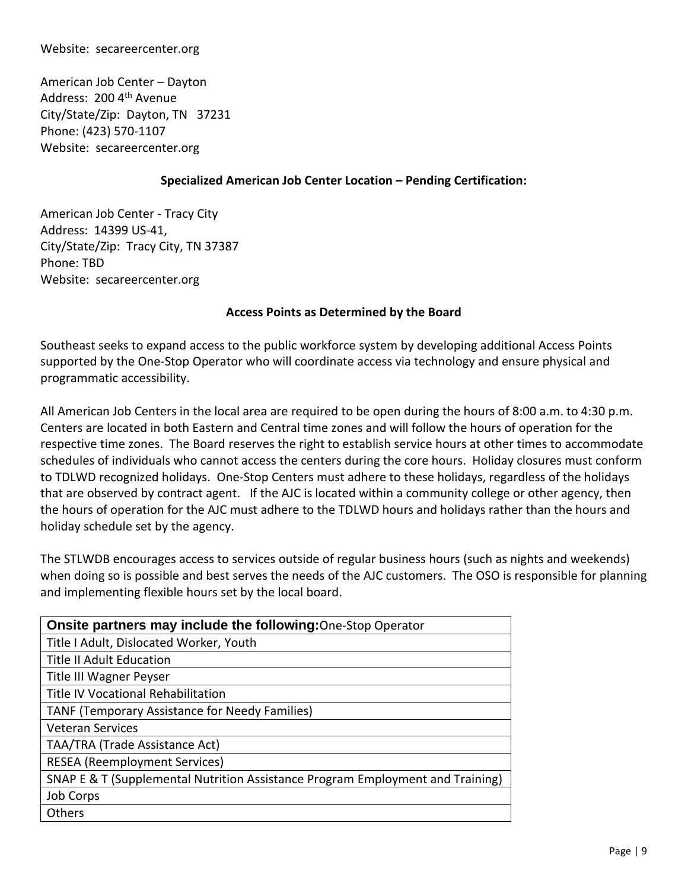#### Website: secareercenter.org

American Job Center – Dayton Address: 200 4<sup>th</sup> Avenue City/State/Zip: Dayton, TN 37231 Phone: (423) 570-1107 Website: secareercenter.org

#### **Specialized American Job Center Location – Pending Certification:**

American Job Center - Tracy City Address: 14399 US-41, City/State/Zip: Tracy City, TN 37387 Phone: TBD Website: secareercenter.org

#### **Access Points as Determined by the Board**

Southeast seeks to expand access to the public workforce system by developing additional Access Points supported by the One-Stop Operator who will coordinate access via technology and ensure physical and programmatic accessibility.

All American Job Centers in the local area are required to be open during the hours of 8:00 a.m. to 4:30 p.m. Centers are located in both Eastern and Central time zones and will follow the hours of operation for the respective time zones. The Board reserves the right to establish service hours at other times to accommodate schedules of individuals who cannot access the centers during the core hours. Holiday closures must conform to TDLWD recognized holidays. One-Stop Centers must adhere to these holidays, regardless of the holidays that are observed by contract agent. If the AJC is located within a community college or other agency, then the hours of operation for the AJC must adhere to the TDLWD hours and holidays rather than the hours and holiday schedule set by the agency.

The STLWDB encourages access to services outside of regular business hours (such as nights and weekends) when doing so is possible and best serves the needs of the AJC customers. The OSO is responsible for planning and implementing flexible hours set by the local board.

| <b>Onsite partners may include the following: One-Stop Operator</b>            |  |  |  |
|--------------------------------------------------------------------------------|--|--|--|
| Title I Adult, Dislocated Worker, Youth                                        |  |  |  |
| <b>Title II Adult Education</b>                                                |  |  |  |
| Title III Wagner Peyser                                                        |  |  |  |
| Title IV Vocational Rehabilitation                                             |  |  |  |
| TANF (Temporary Assistance for Needy Families)                                 |  |  |  |
| <b>Veteran Services</b>                                                        |  |  |  |
| TAA/TRA (Trade Assistance Act)                                                 |  |  |  |
| <b>RESEA</b> (Reemployment Services)                                           |  |  |  |
| SNAP E & T (Supplemental Nutrition Assistance Program Employment and Training) |  |  |  |
| Job Corps                                                                      |  |  |  |
| Others                                                                         |  |  |  |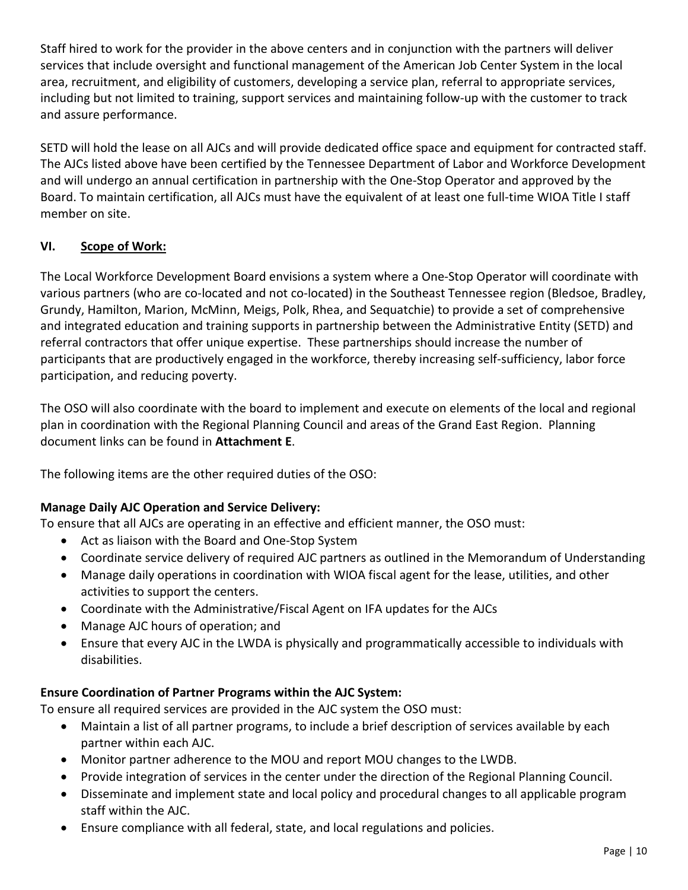Staff hired to work for the provider in the above centers and in conjunction with the partners will deliver services that include oversight and functional management of the American Job Center System in the local area, recruitment, and eligibility of customers, developing a service plan, referral to appropriate services, including but not limited to training, support services and maintaining follow-up with the customer to track and assure performance.

SETD will hold the lease on all AJCs and will provide dedicated office space and equipment for contracted staff. The AJCs listed above have been certified by the Tennessee Department of Labor and Workforce Development and will undergo an annual certification in partnership with the One-Stop Operator and approved by the Board. To maintain certification, all AJCs must have the equivalent of at least one full-time WIOA Title I staff member on site.

## **VI. Scope of Work:**

The Local Workforce Development Board envisions a system where a One-Stop Operator will coordinate with various partners (who are co-located and not co-located) in the Southeast Tennessee region (Bledsoe, Bradley, Grundy, Hamilton, Marion, McMinn, Meigs, Polk, Rhea, and Sequatchie) to provide a set of comprehensive and integrated education and training supports in partnership between the Administrative Entity (SETD) and referral contractors that offer unique expertise. These partnerships should increase the number of participants that are productively engaged in the workforce, thereby increasing self-sufficiency, labor force participation, and reducing poverty.

The OSO will also coordinate with the board to implement and execute on elements of the local and regional plan in coordination with the Regional Planning Council and areas of the Grand East Region. Planning document links can be found in **Attachment E**.

The following items are the other required duties of the OSO:

## **Manage Daily AJC Operation and Service Delivery:**

To ensure that all AJCs are operating in an effective and efficient manner, the OSO must:

- Act as liaison with the Board and One-Stop System
- Coordinate service delivery of required AJC partners as outlined in the Memorandum of Understanding
- Manage daily operations in coordination with WIOA fiscal agent for the lease, utilities, and other activities to support the centers.
- Coordinate with the Administrative/Fiscal Agent on IFA updates for the AJCs
- Manage AJC hours of operation; and
- Ensure that every AJC in the LWDA is physically and programmatically accessible to individuals with disabilities.

## **Ensure Coordination of Partner Programs within the AJC System:**

To ensure all required services are provided in the AJC system the OSO must:

- Maintain a list of all partner programs, to include a brief description of services available by each partner within each AJC.
- Monitor partner adherence to the MOU and report MOU changes to the LWDB.
- Provide integration of services in the center under the direction of the Regional Planning Council.
- Disseminate and implement state and local policy and procedural changes to all applicable program staff within the AJC.
- Ensure compliance with all federal, state, and local regulations and policies.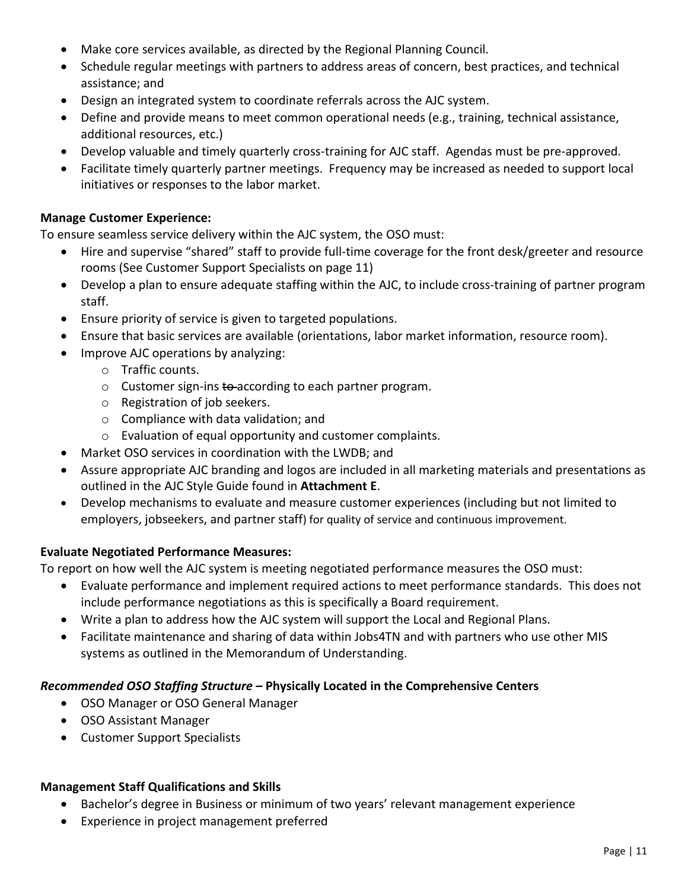- Make core services available, as directed by the Regional Planning Council.
- Schedule regular meetings with partners to address areas of concern, best practices, and technical assistance; and
- Design an integrated system to coordinate referrals across the AJC system.
- Define and provide means to meet common operational needs (e.g., training, technical assistance, additional resources, etc.)
- Develop valuable and timely quarterly cross-training for AJC staff. Agendas must be pre-approved.
- Facilitate timely quarterly partner meetings. Frequency may be increased as needed to support local initiatives or responses to the labor market.

#### **Manage Customer Experience:**

To ensure seamless service delivery within the AJC system, the OSO must:

- Hire and supervise "shared" staff to provide full-time coverage for the front desk/greeter and resource rooms (See Customer Support Specialists on page 11)
- Develop a plan to ensure adequate staffing within the AJC, to include cross-training of partner program staff.
- Ensure priority of service is given to targeted populations.
- Ensure that basic services are available (orientations, labor market information, resource room).
- Improve AJC operations by analyzing:
	- o Traffic counts.
	- $\circ$  Customer sign-ins  $\ddot{\text{t}}$  according to each partner program.
	- o Registration of job seekers.
	- o Compliance with data validation; and
	- o Evaluation of equal opportunity and customer complaints.
- Market OSO services in coordination with the LWDB; and
- Assure appropriate AJC branding and logos are included in all marketing materials and presentations as outlined in the AJC Style Guide found in **Attachment E**.
- Develop mechanisms to evaluate and measure customer experiences (including but not limited to employers, jobseekers, and partner staff) for quality of service and continuous improvement.

## **Evaluate Negotiated Performance Measures:**

To report on how well the AJC system is meeting negotiated performance measures the OSO must:

- Evaluate performance and implement required actions to meet performance standards. This does not include performance negotiations as this is specifically a Board requirement.
- Write a plan to address how the AJC system will support the Local and Regional Plans.
- Facilitate maintenance and sharing of data within Jobs4TN and with partners who use other MIS systems as outlined in the Memorandum of Understanding.

## *Recommended OSO Staffing Structure* **– Physically Located in the Comprehensive Centers**

- OSO Manager or OSO General Manager
- OSO Assistant Manager
- Customer Support Specialists

## **Management Staff Qualifications and Skills**

- Bachelor's degree in Business or minimum of two years' relevant management experience
- Experience in project management preferred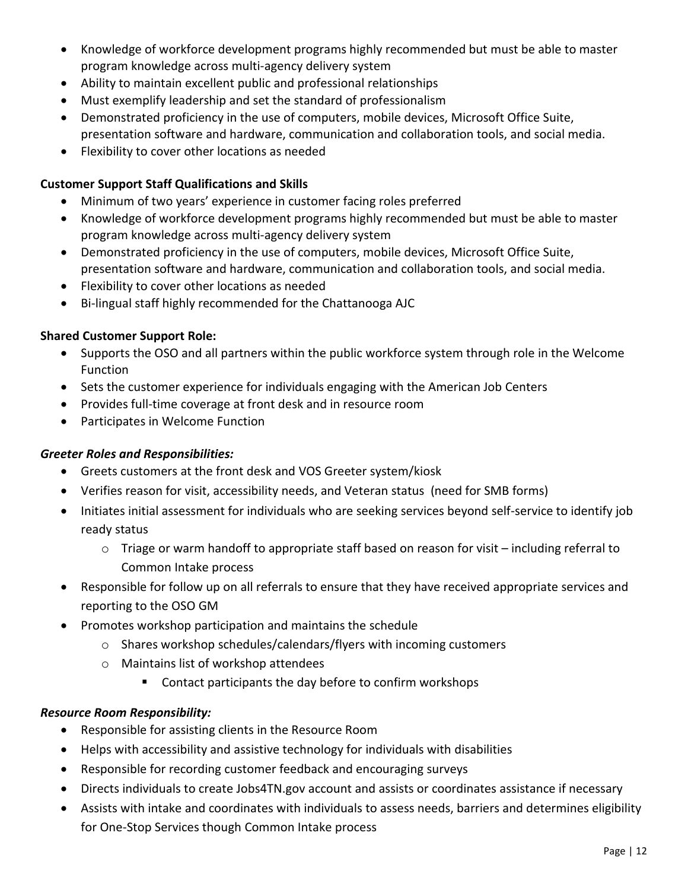- Knowledge of workforce development programs highly recommended but must be able to master program knowledge across multi-agency delivery system
- Ability to maintain excellent public and professional relationships
- Must exemplify leadership and set the standard of professionalism
- Demonstrated proficiency in the use of computers, mobile devices, Microsoft Office Suite, presentation software and hardware, communication and collaboration tools, and social media.
- Flexibility to cover other locations as needed

## **Customer Support Staff Qualifications and Skills**

- Minimum of two years' experience in customer facing roles preferred
- Knowledge of workforce development programs highly recommended but must be able to master program knowledge across multi-agency delivery system
- Demonstrated proficiency in the use of computers, mobile devices, Microsoft Office Suite, presentation software and hardware, communication and collaboration tools, and social media.
- Flexibility to cover other locations as needed
- Bi-lingual staff highly recommended for the Chattanooga AJC

## **Shared Customer Support Role:**

- Supports the OSO and all partners within the public workforce system through role in the Welcome Function
- Sets the customer experience for individuals engaging with the American Job Centers
- Provides full-time coverage at front desk and in resource room
- Participates in Welcome Function

## *Greeter Roles and Responsibilities:*

- Greets customers at the front desk and VOS Greeter system/kiosk
- Verifies reason for visit, accessibility needs, and Veteran status (need for SMB forms)
- Initiates initial assessment for individuals who are seeking services beyond self-service to identify job ready status
	- $\circ$  Triage or warm handoff to appropriate staff based on reason for visit including referral to Common Intake process
- Responsible for follow up on all referrals to ensure that they have received appropriate services and reporting to the OSO GM
- Promotes workshop participation and maintains the schedule
	- o Shares workshop schedules/calendars/flyers with incoming customers
	- o Maintains list of workshop attendees
		- Contact participants the day before to confirm workshops

## *Resource Room Responsibility:*

- Responsible for assisting clients in the Resource Room
- Helps with accessibility and assistive technology for individuals with disabilities
- Responsible for recording customer feedback and encouraging surveys
- Directs individuals to create Jobs4TN.gov account and assists or coordinates assistance if necessary
- Assists with intake and coordinates with individuals to assess needs, barriers and determines eligibility for One-Stop Services though Common Intake process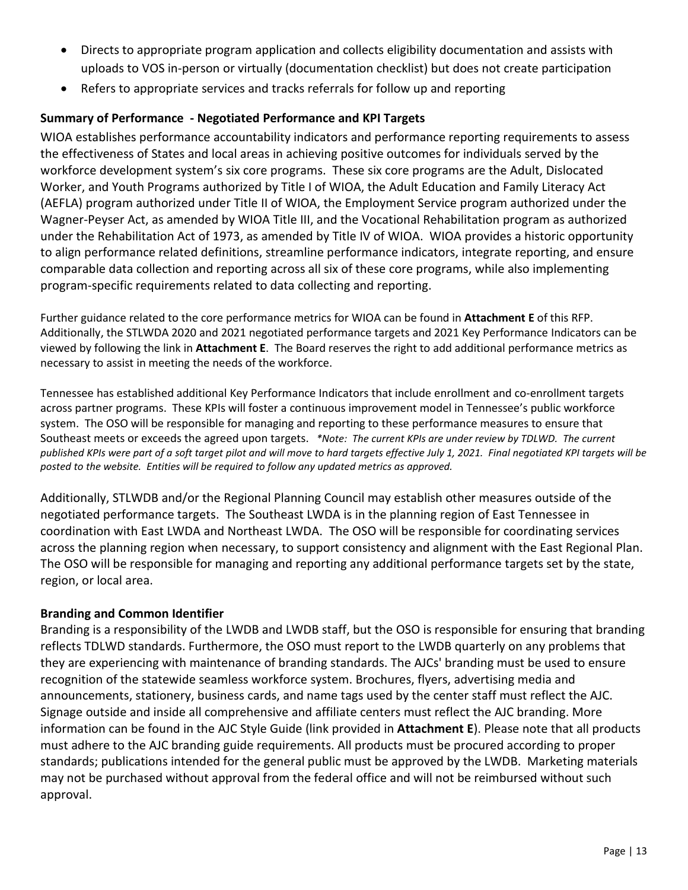- Directs to appropriate program application and collects eligibility documentation and assists with uploads to VOS in-person or virtually (documentation checklist) but does not create participation
- Refers to appropriate services and tracks referrals for follow up and reporting

## **Summary of Performance - Negotiated Performance and KPI Targets**

WIOA establishes performance accountability indicators and performance reporting requirements to assess the effectiveness of States and local areas in achieving positive outcomes for individuals served by the workforce development system's six core programs. These six core programs are the Adult, Dislocated Worker, and Youth Programs authorized by Title I of WIOA, the Adult Education and Family Literacy Act (AEFLA) program authorized under Title II of WIOA, the Employment Service program authorized under the Wagner-Peyser Act, as amended by WIOA Title III, and the Vocational Rehabilitation program as authorized under the Rehabilitation Act of 1973, as amended by Title IV of WIOA. WIOA provides a historic opportunity to align performance related definitions, streamline performance indicators, integrate reporting, and ensure comparable data collection and reporting across all six of these core programs, while also implementing program-specific requirements related to data collecting and reporting.

Further guidance related to the core performance metrics for WIOA can be found in **Attachment E** of this RFP. Additionally, the STLWDA 2020 and 2021 negotiated performance targets and 2021 Key Performance Indicators can be viewed by following the link in **Attachment E**. The Board reserves the right to add additional performance metrics as necessary to assist in meeting the needs of the workforce.

Tennessee has established additional Key Performance Indicators that include enrollment and co-enrollment targets across partner programs. These KPIs will foster a continuous improvement model in Tennessee's public workforce system. The OSO will be responsible for managing and reporting to these performance measures to ensure that Southeast meets or exceeds the agreed upon targets. *\*Note: The current KPIs are under review by TDLWD. The current* published KPIs were part of a soft target pilot and will move to hard targets effective July 1, 2021. Final negotiated KPI targets will be *posted to the website. Entities will be required to follow any updated metrics as approved.* 

Additionally, STLWDB and/or the Regional Planning Council may establish other measures outside of the negotiated performance targets. The Southeast LWDA is in the planning region of East Tennessee in coordination with East LWDA and Northeast LWDA. The OSO will be responsible for coordinating services across the planning region when necessary, to support consistency and alignment with the East Regional Plan. The OSO will be responsible for managing and reporting any additional performance targets set by the state, region, or local area.

## **Branding and Common Identifier**

Branding is a responsibility of the LWDB and LWDB staff, but the OSO is responsible for ensuring that branding reflects TDLWD standards. Furthermore, the OSO must report to the LWDB quarterly on any problems that they are experiencing with maintenance of branding standards. The AJCs' branding must be used to ensure recognition of the statewide seamless workforce system. Brochures, flyers, advertising media and announcements, stationery, business cards, and name tags used by the center staff must reflect the AJC. Signage outside and inside all comprehensive and affiliate centers must reflect the AJC branding. More information can be found in the AJC Style Guide (link provided in **Attachment E**). Please note that all products must adhere to the AJC branding guide requirements. All products must be procured according to proper standards; publications intended for the general public must be approved by the LWDB. Marketing materials may not be purchased without approval from the federal office and will not be reimbursed without such approval.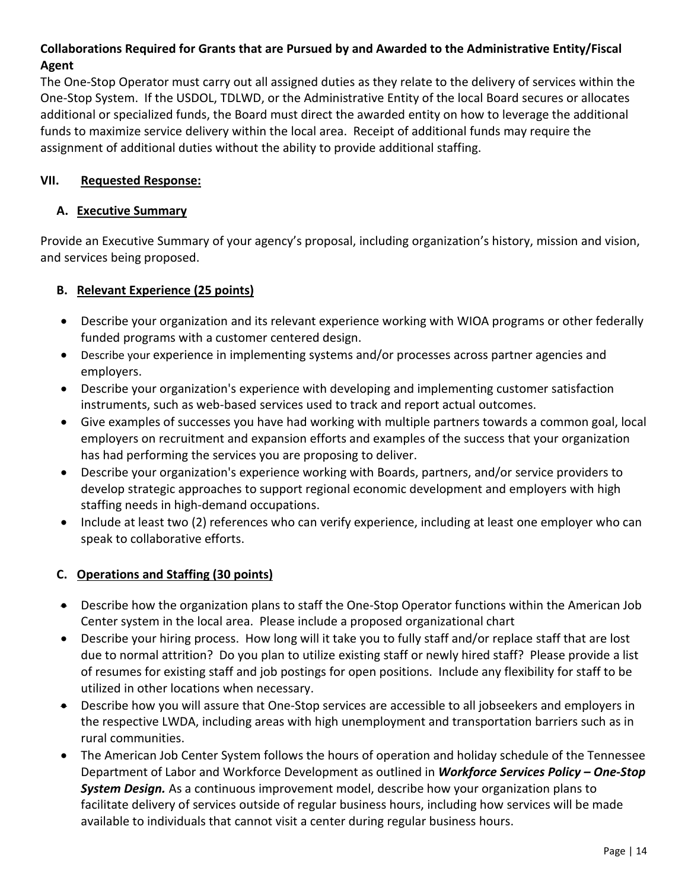## **Collaborations Required for Grants that are Pursued by and Awarded to the Administrative Entity/Fiscal Agent**

The One-Stop Operator must carry out all assigned duties as they relate to the delivery of services within the One-Stop System. If the USDOL, TDLWD, or the Administrative Entity of the local Board secures or allocates additional or specialized funds, the Board must direct the awarded entity on how to leverage the additional funds to maximize service delivery within the local area. Receipt of additional funds may require the assignment of additional duties without the ability to provide additional staffing.

#### **VII. Requested Response:**

#### **A. Executive Summary**

Provide an Executive Summary of your agency's proposal, including organization's history, mission and vision, and services being proposed.

#### **B. Relevant Experience (25 points)**

- Describe your organization and its relevant experience working with WIOA programs or other federally funded programs with a customer centered design.
- Describe your experience in implementing systems and/or processes across partner agencies and employers.
- Describe your organization's experience with developing and implementing customer satisfaction instruments, such as web-based services used to track and report actual outcomes.
- Give examples of successes you have had working with multiple partners towards a common goal, local employers on recruitment and expansion efforts and examples of the success that your organization has had performing the services you are proposing to deliver.
- Describe your organization's experience working with Boards, partners, and/or service providers to develop strategic approaches to support regional economic development and employers with high staffing needs in high-demand occupations.
- Include at least two (2) references who can verify experience, including at least one employer who can speak to collaborative efforts.

## **C. Operations and Staffing (30 points)**

- Describe how the organization plans to staff the One-Stop Operator functions within the American Job Center system in the local area. Please include a proposed organizational chart
- Describe your hiring process. How long will it take you to fully staff and/or replace staff that are lost due to normal attrition? Do you plan to utilize existing staff or newly hired staff? Please provide a list of resumes for existing staff and job postings for open positions. Include any flexibility for staff to be utilized in other locations when necessary.
- Describe how you will assure that One-Stop services are accessible to all jobseekers and employers in the respective LWDA, including areas with high unemployment and transportation barriers such as in rural communities.
- The American Job Center System follows the hours of operation and holiday schedule of the Tennessee Department of Labor and Workforce Development as outlined in *Workforce Services Policy – One-Stop System Design.* As a continuous improvement model, describe how your organization plans to facilitate delivery of services outside of regular business hours, including how services will be made available to individuals that cannot visit a center during regular business hours.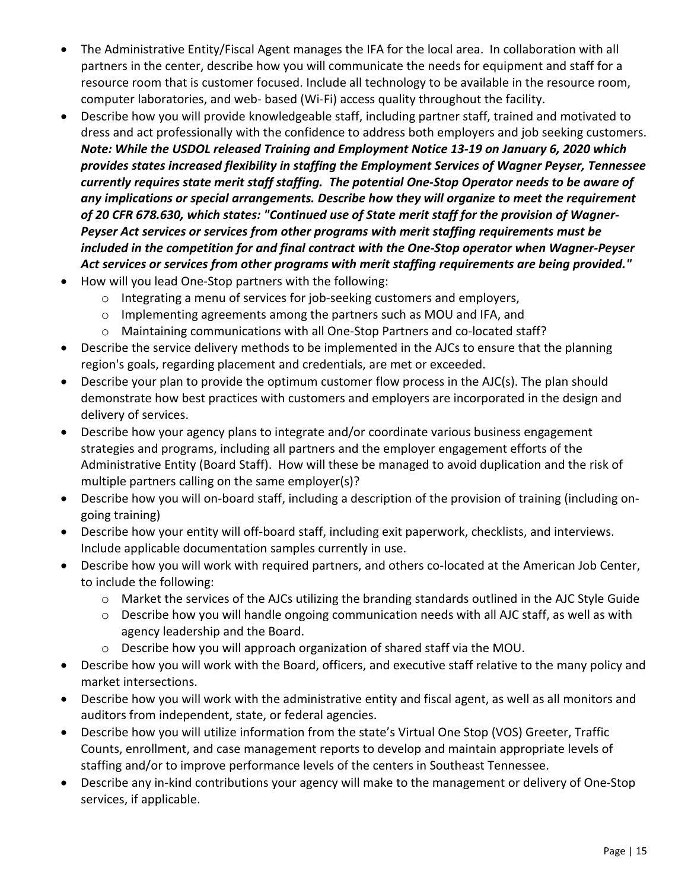- The Administrative Entity/Fiscal Agent manages the IFA for the local area. In collaboration with all partners in the center, describe how you will communicate the needs for equipment and staff for a resource room that is customer focused. Include all technology to be available in the resource room, computer laboratories, and web- based (Wi-Fi) access quality throughout the facility.
- Describe how you will provide knowledgeable staff, including partner staff, trained and motivated to dress and act professionally with the confidence to address both employers and job seeking customers. *Note: While the USDOL released Training and Employment Notice 13-19 on January 6, 2020 which provides states increased flexibility in staffing the Employment Services of Wagner Peyser, Tennessee currently requires state merit staff staffing. The potential One-Stop Operator needs to be aware of any implications or special arrangements. Describe how they will organize to meet the requirement of 20 CFR 678.630, which states: "Continued use of State merit staff for the provision of Wagner-Peyser Act services or services from other programs with merit staffing requirements must be included in the competition for and final contract with the One-Stop operator when Wagner-Peyser Act services or services from other programs with merit staffing requirements are being provided."*
- How will you lead One-Stop partners with the following:
	- o Integrating a menu of services for job-seeking customers and employers,
	- o Implementing agreements among the partners such as MOU and IFA, and
	- o Maintaining communications with all One-Stop Partners and co-located staff?
- Describe the service delivery methods to be implemented in the AJCs to ensure that the planning region's goals, regarding placement and credentials, are met or exceeded.
- Describe your plan to provide the optimum customer flow process in the AJC(s). The plan should demonstrate how best practices with customers and employers are incorporated in the design and delivery of services.
- Describe how your agency plans to integrate and/or coordinate various business engagement strategies and programs, including all partners and the employer engagement efforts of the Administrative Entity (Board Staff). How will these be managed to avoid duplication and the risk of multiple partners calling on the same employer(s)?
- Describe how you will on-board staff, including a description of the provision of training (including ongoing training)
- Describe how your entity will off-board staff, including exit paperwork, checklists, and interviews. Include applicable documentation samples currently in use.
- Describe how you will work with required partners, and others co-located at the American Job Center, to include the following:
	- $\circ$  Market the services of the AJCs utilizing the branding standards outlined in the AJC Style Guide
	- o Describe how you will handle ongoing communication needs with all AJC staff, as well as with agency leadership and the Board.
	- o Describe how you will approach organization of shared staff via the MOU.
- Describe how you will work with the Board, officers, and executive staff relative to the many policy and market intersections.
- Describe how you will work with the administrative entity and fiscal agent, as well as all monitors and auditors from independent, state, or federal agencies.
- Describe how you will utilize information from the state's Virtual One Stop (VOS) Greeter, Traffic Counts, enrollment, and case management reports to develop and maintain appropriate levels of staffing and/or to improve performance levels of the centers in Southeast Tennessee.
- Describe any in-kind contributions your agency will make to the management or delivery of One-Stop services, if applicable.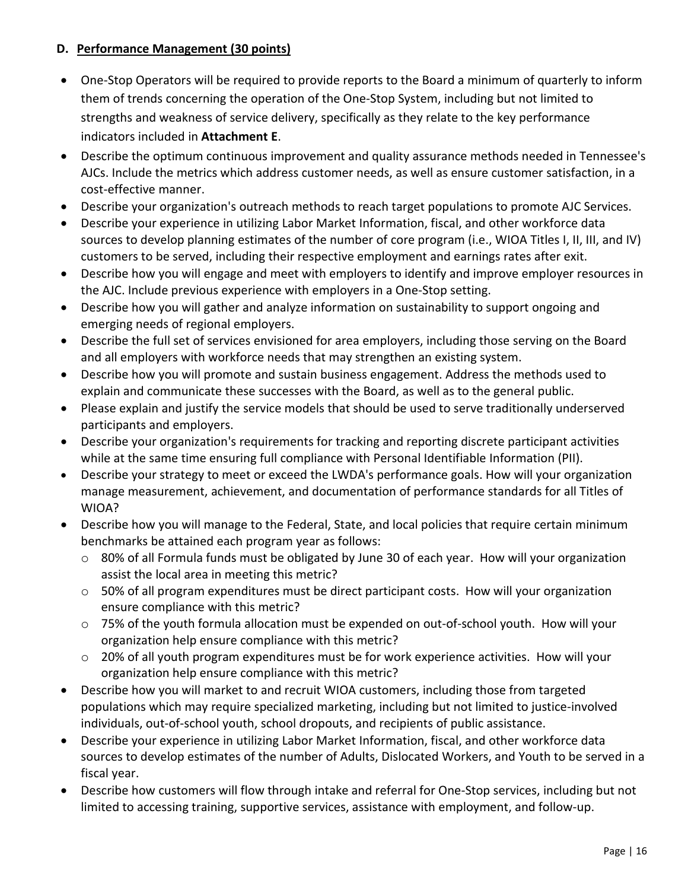## **D. Performance Management (30 points)**

- One-Stop Operators will be required to provide reports to the Board a minimum of quarterly to inform them of trends concerning the operation of the One-Stop System, including but not limited to strengths and weakness of service delivery, specifically as they relate to the key performance indicators included in **Attachment E**.
- Describe the optimum continuous improvement and quality assurance methods needed in Tennessee's AJCs. Include the metrics which address customer needs, as well as ensure customer satisfaction, in a cost-effective manner.
- Describe your organization's outreach methods to reach target populations to promote AJC Services.
- Describe your experience in utilizing Labor Market Information, fiscal, and other workforce data sources to develop planning estimates of the number of core program (i.e., WIOA Titles I, II, III, and IV) customers to be served, including their respective employment and earnings rates after exit.
- Describe how you will engage and meet with employers to identify and improve employer resources in the AJC. Include previous experience with employers in a One-Stop setting.
- Describe how you will gather and analyze information on sustainability to support ongoing and emerging needs of regional employers.
- Describe the full set of services envisioned for area employers, including those serving on the Board and all employers with workforce needs that may strengthen an existing system.
- Describe how you will promote and sustain business engagement. Address the methods used to explain and communicate these successes with the Board, as well as to the general public.
- Please explain and justify the service models that should be used to serve traditionally underserved participants and employers.
- Describe your organization's requirements for tracking and reporting discrete participant activities while at the same time ensuring full compliance with Personal Identifiable Information (PII).
- Describe your strategy to meet or exceed the LWDA's performance goals. How will your organization manage measurement, achievement, and documentation of performance standards for all Titles of WIOA?
- Describe how you will manage to the Federal, State, and local policies that require certain minimum benchmarks be attained each program year as follows:
	- o 80% of all Formula funds must be obligated by June 30 of each year. How will your organization assist the local area in meeting this metric?
	- $\circ$  50% of all program expenditures must be direct participant costs. How will your organization ensure compliance with this metric?
	- o 75% of the youth formula allocation must be expended on out-of-school youth. How will your organization help ensure compliance with this metric?
	- o 20% of all youth program expenditures must be for work experience activities. How will your organization help ensure compliance with this metric?
- Describe how you will market to and recruit WIOA customers, including those from targeted populations which may require specialized marketing, including but not limited to justice-involved individuals, out-of-school youth, school dropouts, and recipients of public assistance.
- Describe your experience in utilizing Labor Market Information, fiscal, and other workforce data sources to develop estimates of the number of Adults, Dislocated Workers, and Youth to be served in a fiscal year.
- Describe how customers will flow through intake and referral for One-Stop services, including but not limited to accessing training, supportive services, assistance with employment, and follow-up.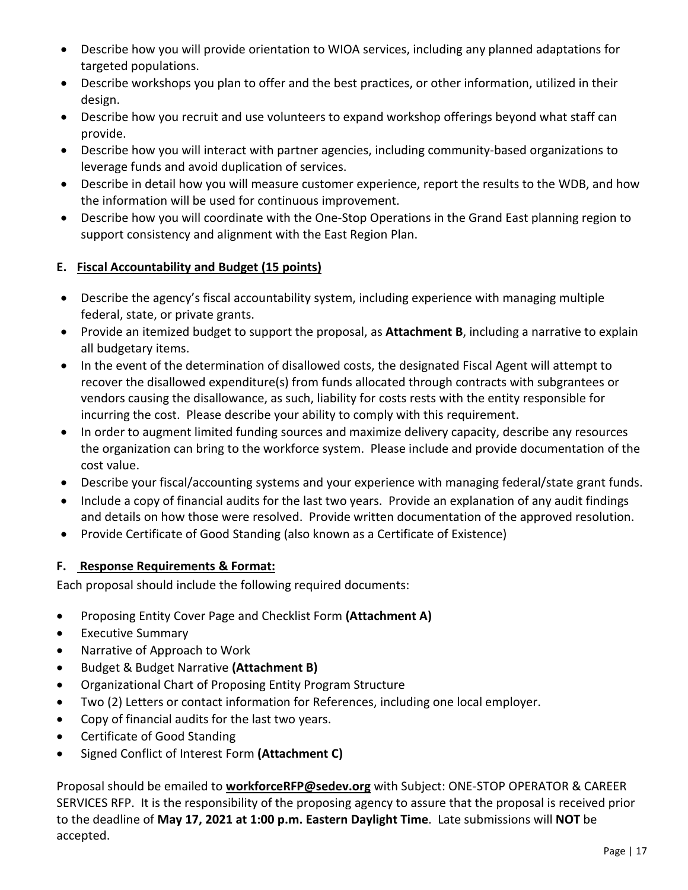- Describe how you will provide orientation to WIOA services, including any planned adaptations for targeted populations.
- Describe workshops you plan to offer and the best practices, or other information, utilized in their design.
- Describe how you recruit and use volunteers to expand workshop offerings beyond what staff can provide.
- Describe how you will interact with partner agencies, including community-based organizations to leverage funds and avoid duplication of services.
- Describe in detail how you will measure customer experience, report the results to the WDB, and how the information will be used for continuous improvement.
- Describe how you will coordinate with the One-Stop Operations in the Grand East planning region to support consistency and alignment with the East Region Plan.

## **E. Fiscal Accountability and Budget (15 points)**

- Describe the agency's fiscal accountability system, including experience with managing multiple federal, state, or private grants.
- Provide an itemized budget to support the proposal, as **Attachment B**, including a narrative to explain all budgetary items.
- In the event of the determination of disallowed costs, the designated Fiscal Agent will attempt to recover the disallowed expenditure(s) from funds allocated through contracts with subgrantees or vendors causing the disallowance, as such, liability for costs rests with the entity responsible for incurring the cost. Please describe your ability to comply with this requirement.
- In order to augment limited funding sources and maximize delivery capacity, describe any resources the organization can bring to the workforce system. Please include and provide documentation of the cost value.
- Describe your fiscal/accounting systems and your experience with managing federal/state grant funds.
- Include a copy of financial audits for the last two years. Provide an explanation of any audit findings and details on how those were resolved. Provide written documentation of the approved resolution.
- Provide Certificate of Good Standing (also known as a Certificate of Existence)

## **F. Response Requirements & Format:**

Each proposal should include the following required documents:

- Proposing Entity Cover Page and Checklist Form **(Attachment A)**
- Executive Summary
- Narrative of Approach to Work
- Budget & Budget Narrative **(Attachment B)**
- Organizational Chart of Proposing Entity Program Structure
- Two (2) Letters or contact information for References, including one local employer.
- Copy of financial audits for the last two years.
- Certificate of Good Standing
- Signed Conflict of Interest Form **(Attachment C)**

Proposal should be emailed to **[workforceRFP@sedev.org](mailto:scowden@sedev.org)** with Subject: ONE-STOP OPERATOR & CAREER SERVICES RFP. It is the responsibility of the proposing agency to assure that the proposal is received prior to the deadline of **May 17, 2021 at 1:00 p.m. Eastern Daylight Time**. Late submissions will **NOT** be accepted.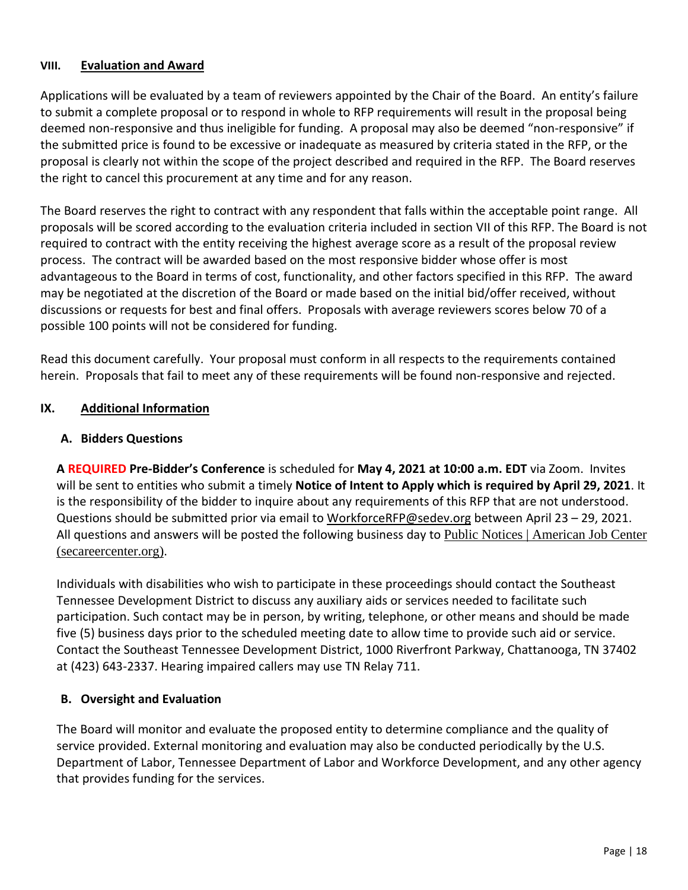#### **VIII. Evaluation and Award**

Applications will be evaluated by a team of reviewers appointed by the Chair of the Board. An entity's failure to submit a complete proposal or to respond in whole to RFP requirements will result in the proposal being deemed non-responsive and thus ineligible for funding. A proposal may also be deemed "non-responsive" if the submitted price is found to be excessive or inadequate as measured by criteria stated in the RFP, or the proposal is clearly not within the scope of the project described and required in the RFP. The Board reserves the right to cancel this procurement at any time and for any reason.

The Board reserves the right to contract with any respondent that falls within the acceptable point range. All proposals will be scored according to the evaluation criteria included in section VII of this RFP. The Board is not required to contract with the entity receiving the highest average score as a result of the proposal review process. The contract will be awarded based on the most responsive bidder whose offer is most advantageous to the Board in terms of cost, functionality, and other factors specified in this RFP. The award may be negotiated at the discretion of the Board or made based on the initial bid/offer received, without discussions or requests for best and final offers. Proposals with average reviewers scores below 70 of a possible 100 points will not be considered for funding.

Read this document carefully. Your proposal must conform in all respects to the requirements contained herein. Proposals that fail to meet any of these requirements will be found non-responsive and rejected.

## **IX. Additional Information**

#### **A. Bidders Questions**

**A REQUIRED Pre-Bidder's Conference** is scheduled for **May 4, 2021 at 10:00 a.m. EDT** via Zoom. Invites will be sent to entities who submit a timely **Notice of Intent to Apply which is required by April 29, 2021**. It is the responsibility of the bidder to inquire about any requirements of this RFP that are not understood. Questions should be submitted prior via email to [WorkforceRFP@sedev.org](mailto:WorkforceRFP@sedev.org) between April 23 – 29, 2021. All questions and answers will be posted the following business day to Public Notices | [American](https://www.secareercenter.org/9/) Job Center [\(secareercenter.org\)](https://www.secareercenter.org/9/).

Individuals with disabilities who wish to participate in these proceedings should contact the Southeast Tennessee Development District to discuss any auxiliary aids or services needed to facilitate such participation. Such contact may be in person, by writing, telephone, or other means and should be made five (5) business days prior to the scheduled meeting date to allow time to provide such aid or service. Contact the Southeast Tennessee Development District, 1000 Riverfront Parkway, Chattanooga, TN 37402 at (423) 643-2337. Hearing impaired callers may use TN Relay 711.

#### **B. Oversight and Evaluation**

The Board will monitor and evaluate the proposed entity to determine compliance and the quality of service provided. External monitoring and evaluation may also be conducted periodically by the U.S. Department of Labor, Tennessee Department of Labor and Workforce Development, and any other agency that provides funding for the services.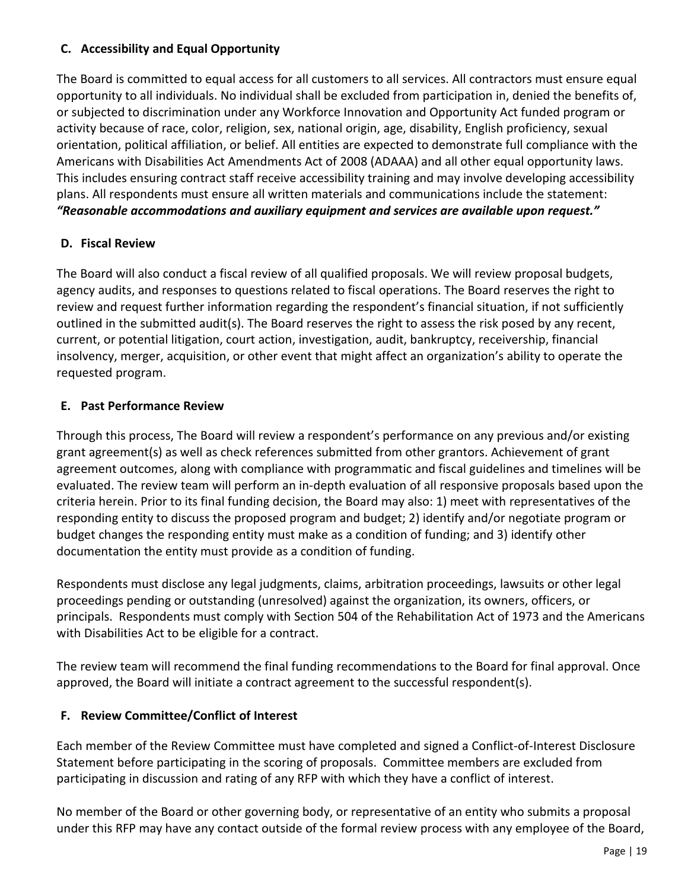## **C. Accessibility and Equal Opportunity**

The Board is committed to equal access for all customers to all services. All contractors must ensure equal opportunity to all individuals. No individual shall be excluded from participation in, denied the benefits of, or subjected to discrimination under any Workforce Innovation and Opportunity Act funded program or activity because of race, color, religion, sex, national origin, age, disability, English proficiency, sexual orientation, political affiliation, or belief. All entities are expected to demonstrate full compliance with the Americans with Disabilities Act Amendments Act of 2008 (ADAAA) and all other equal opportunity laws. This includes ensuring contract staff receive accessibility training and may involve developing accessibility plans. All respondents must ensure all written materials and communications include the statement: *"Reasonable accommodations and auxiliary equipment and services are available upon request."*

## **D. Fiscal Review**

The Board will also conduct a fiscal review of all qualified proposals. We will review proposal budgets, agency audits, and responses to questions related to fiscal operations. The Board reserves the right to review and request further information regarding the respondent's financial situation, if not sufficiently outlined in the submitted audit(s). The Board reserves the right to assess the risk posed by any recent, current, or potential litigation, court action, investigation, audit, bankruptcy, receivership, financial insolvency, merger, acquisition, or other event that might affect an organization's ability to operate the requested program.

## **E. Past Performance Review**

Through this process, The Board will review a respondent's performance on any previous and/or existing grant agreement(s) as well as check references submitted from other grantors. Achievement of grant agreement outcomes, along with compliance with programmatic and fiscal guidelines and timelines will be evaluated. The review team will perform an in-depth evaluation of all responsive proposals based upon the criteria herein. Prior to its final funding decision, the Board may also: 1) meet with representatives of the responding entity to discuss the proposed program and budget; 2) identify and/or negotiate program or budget changes the responding entity must make as a condition of funding; and 3) identify other documentation the entity must provide as a condition of funding.

Respondents must disclose any legal judgments, claims, arbitration proceedings, lawsuits or other legal proceedings pending or outstanding (unresolved) against the organization, its owners, officers, or principals. Respondents must comply with Section 504 of the Rehabilitation Act of 1973 and the Americans with Disabilities Act to be eligible for a contract.

The review team will recommend the final funding recommendations to the Board for final approval. Once approved, the Board will initiate a contract agreement to the successful respondent(s).

## **F. Review Committee/Conflict of Interest**

Each member of the Review Committee must have completed and signed a Conflict-of-Interest Disclosure Statement before participating in the scoring of proposals. Committee members are excluded from participating in discussion and rating of any RFP with which they have a conflict of interest.

No member of the Board or other governing body, or representative of an entity who submits a proposal under this RFP may have any contact outside of the formal review process with any employee of the Board,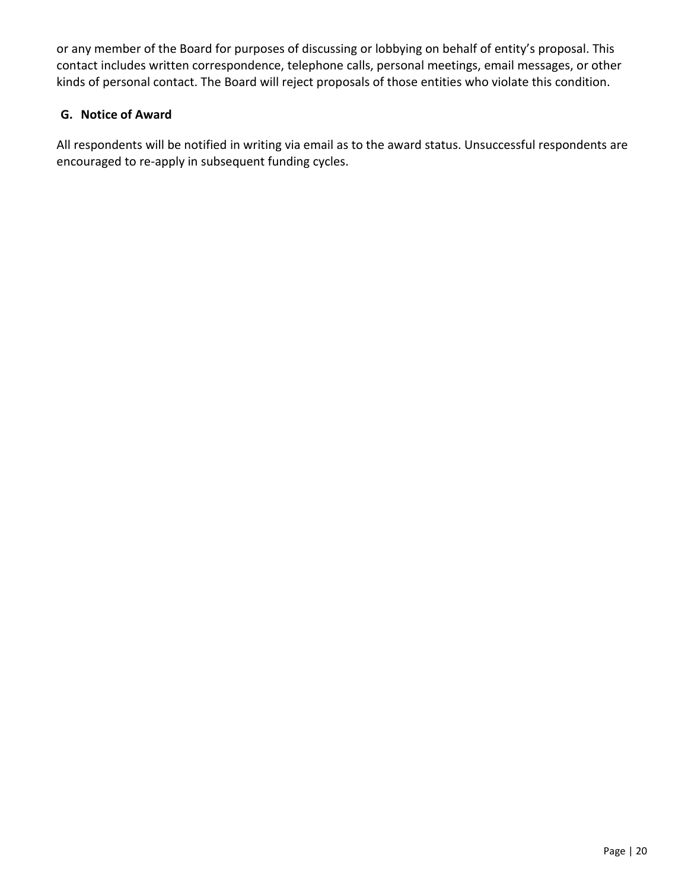or any member of the Board for purposes of discussing or lobbying on behalf of entity's proposal. This contact includes written correspondence, telephone calls, personal meetings, email messages, or other kinds of personal contact. The Board will reject proposals of those entities who violate this condition.

## **G. Notice of Award**

All respondents will be notified in writing via email as to the award status. Unsuccessful respondents are encouraged to re-apply in subsequent funding cycles.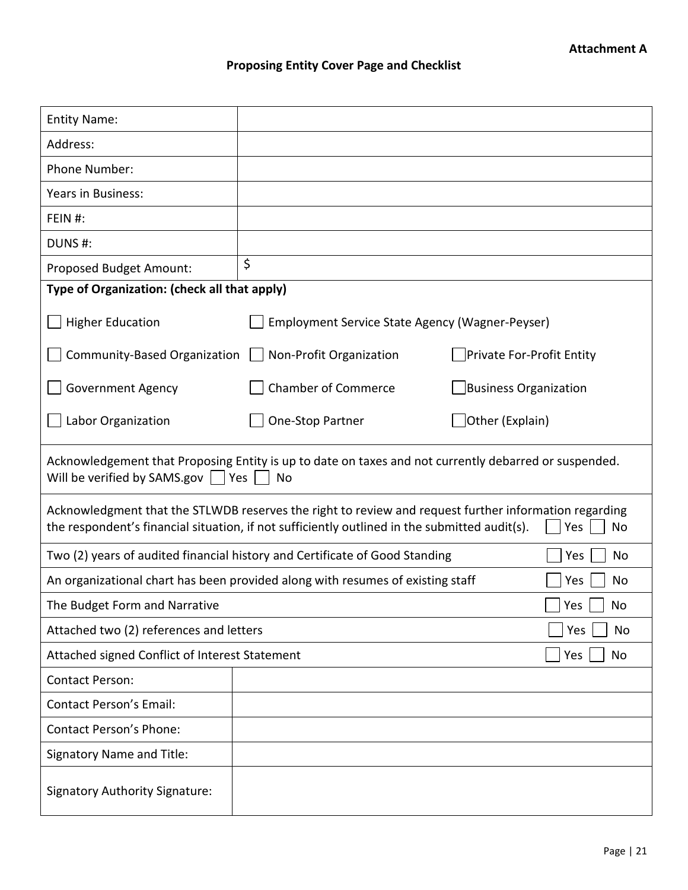## **Proposing Entity Cover Page and Checklist**

| <b>Entity Name:</b>                                                                                                                                                                                                 |                                                                                |                           |  |  |  |  |
|---------------------------------------------------------------------------------------------------------------------------------------------------------------------------------------------------------------------|--------------------------------------------------------------------------------|---------------------------|--|--|--|--|
| Address:                                                                                                                                                                                                            |                                                                                |                           |  |  |  |  |
| Phone Number:                                                                                                                                                                                                       |                                                                                |                           |  |  |  |  |
| Years in Business:                                                                                                                                                                                                  |                                                                                |                           |  |  |  |  |
| FEIN #:                                                                                                                                                                                                             |                                                                                |                           |  |  |  |  |
| DUNS#:                                                                                                                                                                                                              |                                                                                |                           |  |  |  |  |
| Proposed Budget Amount:                                                                                                                                                                                             | \$                                                                             |                           |  |  |  |  |
| Type of Organization: (check all that apply)                                                                                                                                                                        |                                                                                |                           |  |  |  |  |
| <b>Higher Education</b>                                                                                                                                                                                             | Employment Service State Agency (Wagner-Peyser)                                |                           |  |  |  |  |
| Community-Based Organization                                                                                                                                                                                        | Non-Profit Organization                                                        | Private For-Profit Entity |  |  |  |  |
| <b>Government Agency</b>                                                                                                                                                                                            | <b>Chamber of Commerce</b>                                                     | Business Organization     |  |  |  |  |
| Labor Organization                                                                                                                                                                                                  | One-Stop Partner                                                               | Other (Explain)           |  |  |  |  |
| Acknowledgement that Proposing Entity is up to date on taxes and not currently debarred or suspended.<br>Will be verified by SAMS.gov     Yes  <br>No                                                               |                                                                                |                           |  |  |  |  |
| Acknowledgment that the STLWDB reserves the right to review and request further information regarding<br>the respondent's financial situation, if not sufficiently outlined in the submitted audit(s).<br>Yes<br>No |                                                                                |                           |  |  |  |  |
| Two (2) years of audited financial history and Certificate of Good Standing<br>Yes<br>No                                                                                                                            |                                                                                |                           |  |  |  |  |
|                                                                                                                                                                                                                     | An organizational chart has been provided along with resumes of existing staff | No<br>Yes                 |  |  |  |  |
| Yes<br>The Budget Form and Narrative                                                                                                                                                                                |                                                                                |                           |  |  |  |  |
| Attached two (2) references and letters<br>Yes                                                                                                                                                                      |                                                                                |                           |  |  |  |  |
| Attached signed Conflict of Interest Statement<br>Yes                                                                                                                                                               |                                                                                |                           |  |  |  |  |
| <b>Contact Person:</b>                                                                                                                                                                                              |                                                                                |                           |  |  |  |  |
| <b>Contact Person's Email:</b>                                                                                                                                                                                      |                                                                                |                           |  |  |  |  |
| <b>Contact Person's Phone:</b>                                                                                                                                                                                      |                                                                                |                           |  |  |  |  |
| <b>Signatory Name and Title:</b>                                                                                                                                                                                    |                                                                                |                           |  |  |  |  |
| <b>Signatory Authority Signature:</b>                                                                                                                                                                               |                                                                                |                           |  |  |  |  |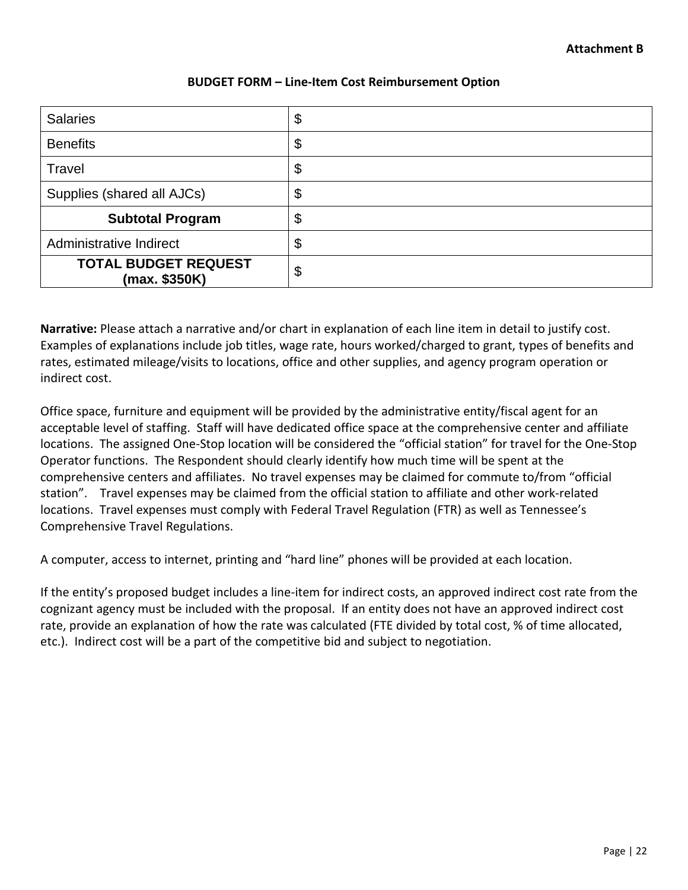#### **BUDGET FORM – Line-Item Cost Reimbursement Option**

| <b>Salaries</b>                              | \$ |
|----------------------------------------------|----|
| <b>Benefits</b>                              | \$ |
| Travel                                       | \$ |
| Supplies (shared all AJCs)                   | \$ |
| <b>Subtotal Program</b>                      | \$ |
| Administrative Indirect                      | \$ |
| <b>TOTAL BUDGET REQUEST</b><br>(max. \$350K) | \$ |

**Narrative:** Please attach a narrative and/or chart in explanation of each line item in detail to justify cost. Examples of explanations include job titles, wage rate, hours worked/charged to grant, types of benefits and rates, estimated mileage/visits to locations, office and other supplies, and agency program operation or indirect cost.

Office space, furniture and equipment will be provided by the administrative entity/fiscal agent for an acceptable level of staffing. Staff will have dedicated office space at the comprehensive center and affiliate locations. The assigned One-Stop location will be considered the "official station" for travel for the One-Stop Operator functions. The Respondent should clearly identify how much time will be spent at the comprehensive centers and affiliates. No travel expenses may be claimed for commute to/from "official station". Travel expenses may be claimed from the official station to affiliate and other work-related locations. Travel expenses must comply with Federal Travel Regulation (FTR) as well as Tennessee's Comprehensive Travel Regulations.

A computer, access to internet, printing and "hard line" phones will be provided at each location.

If the entity's proposed budget includes a line-item for indirect costs, an approved indirect cost rate from the cognizant agency must be included with the proposal. If an entity does not have an approved indirect cost rate, provide an explanation of how the rate was calculated (FTE divided by total cost, % of time allocated, etc.). Indirect cost will be a part of the competitive bid and subject to negotiation.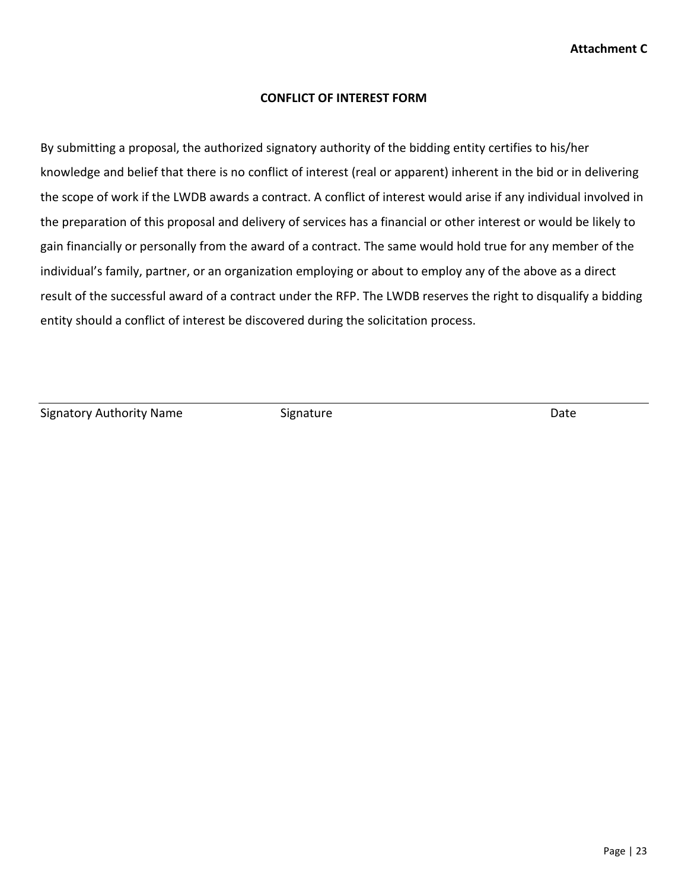#### **CONFLICT OF INTEREST FORM**

By submitting a proposal, the authorized signatory authority of the bidding entity certifies to his/her knowledge and belief that there is no conflict of interest (real or apparent) inherent in the bid or in delivering the scope of work if the LWDB awards a contract. A conflict of interest would arise if any individual involved in the preparation of this proposal and delivery of services has a financial or other interest or would be likely to gain financially or personally from the award of a contract. The same would hold true for any member of the individual's family, partner, or an organization employing or about to employ any of the above as a direct result of the successful award of a contract under the RFP. The LWDB reserves the right to disqualify a bidding entity should a conflict of interest be discovered during the solicitation process.

Signatory Authority Name Signature Signature Date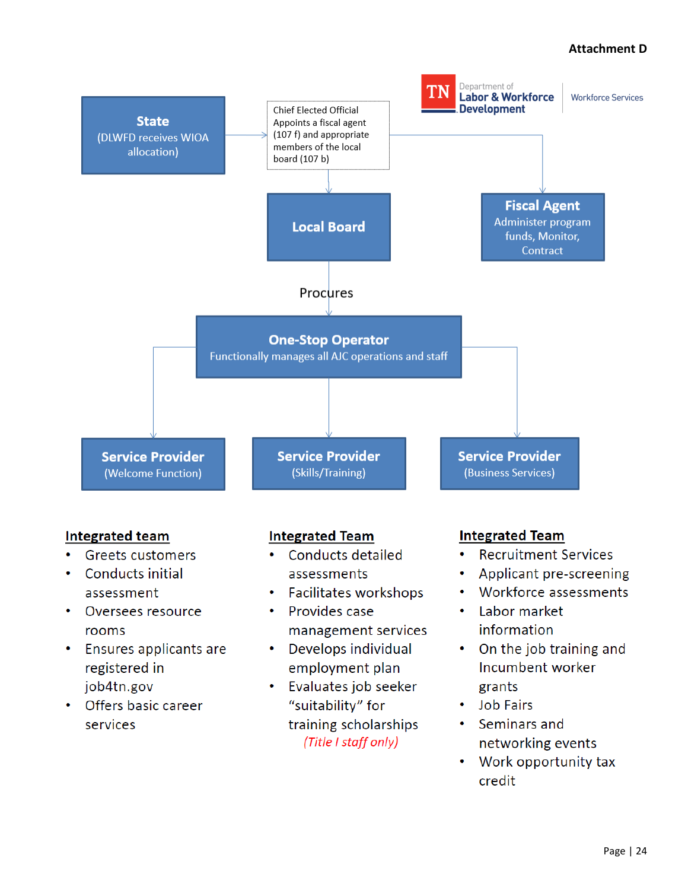## **Attachment D**

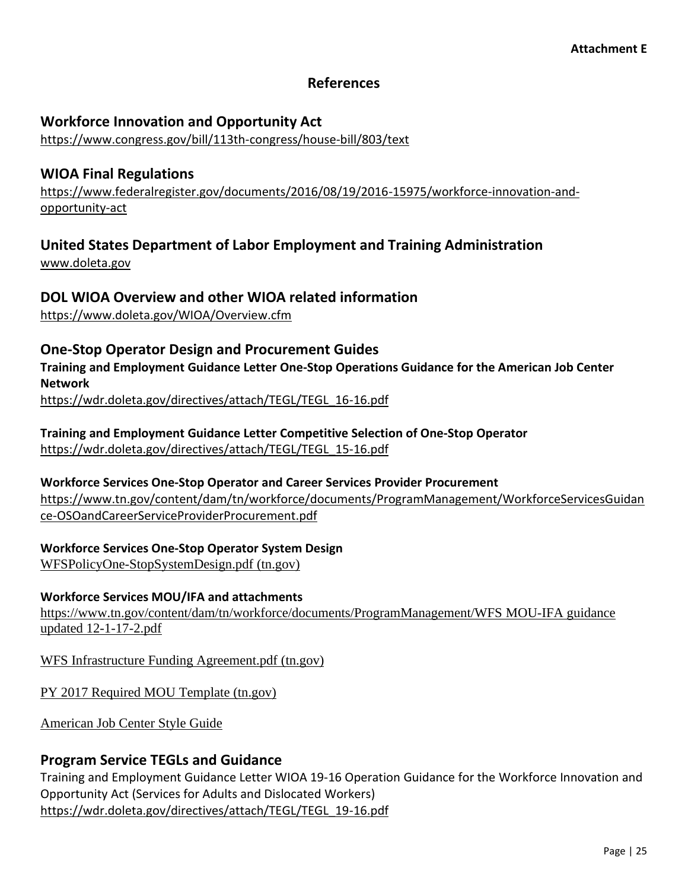## **References**

## **Workforce Innovation and Opportunity Act**

<https://www.congress.gov/bill/113th-congress/house-bill/803/text>

## **WIOA Final Regulations**

[https://www.federalregister.gov/documents/2016/08/19/2016-15975/workforce-innovation-and](https://www.federalregister.gov/documents/2016/08/19/2016-15975/workforce-innovation-and-opportunity-act)[opportunity-act](https://www.federalregister.gov/documents/2016/08/19/2016-15975/workforce-innovation-and-opportunity-act)

## **United States Department of Labor Employment and Training Administration**

[www.doleta.gov](http://www.doleta.gov/)

## **DOL WIOA Overview and other WIOA related information**

<https://www.doleta.gov/WIOA/Overview.cfm>

## **One-Stop Operator Design and Procurement Guides**

**Training and Employment Guidance Letter One-Stop Operations Guidance for the American Job Center Network**

[https://wdr.doleta.gov/directives/attach/TEGL/TEGL\\_16-16.pdf](https://wdr.doleta.gov/directives/attach/TEGL/TEGL_16-16.pdf)

**Training and Employment Guidance Letter Competitive Selection of One-Stop Operator** [https://wdr.doleta.gov/directives/attach/TEGL/TEGL\\_15-16.pdf](https://wdr.doleta.gov/directives/attach/TEGL/TEGL_15-16.pdf)

## **Workforce Services One-Stop Operator and Career Services Provider Procurement** [https://www.tn.gov/content/dam/tn/workforce/documents/ProgramManagement/WorkforceServicesGuidan](https://www.tn.gov/content/dam/tn/workforce/documents/ProgramManagement/WorkforceServicesGuidance-OSOandCareerServiceProviderProcurement.pdf) [ce-OSOandCareerServiceProviderProcurement.pdf](https://www.tn.gov/content/dam/tn/workforce/documents/ProgramManagement/WorkforceServicesGuidance-OSOandCareerServiceProviderProcurement.pdf)

**Workforce Services One-Stop Operator System Design** [WFSPolicyOne-StopSystemDesign.pdf](https://www.tn.gov/content/dam/tn/workforce/documents/wfs/WFSPolicyOne-StopSystemDesign.pdf) (tn.gov)

## **Workforce Services MOU/IFA and attachments**

[https://www.tn.gov/content/dam/tn/workforce/documents/ProgramManagement/WFS](https://www.tn.gov/content/dam/tn/workforce/documents/ProgramManagement/WFS%20MOU-IFA%20guidance%20updated%2012-1-17-2.pdf) MOU-IFA guidance updated [12-1-17-2.pdf](https://www.tn.gov/content/dam/tn/workforce/documents/ProgramManagement/WFS%20MOU-IFA%20guidance%20updated%2012-1-17-2.pdf)

WFS Infrastructure Funding [Agreement.pdf](https://www.tn.gov/content/dam/tn/workforce/documents/ProgramManagement/WFS%20Infrastructure%20Funding%20Agreement.pdf) (tn.gov)

PY 2017 Required MOU [Template](https://www.tn.gov/content/dam/tn/workforce/documents/ProgramManagement/MOU%20Template.pdf) (tn.gov)

[American](https://www.tn.gov/content/dam/tn/workforce/documents/wfs/ajcstyleguidetn01.21.20.pdf) Job Center Style Guide

## **Program Service TEGLs and Guidance**

Training and Employment Guidance Letter WIOA 19-16 Operation Guidance for the Workforce Innovation and Opportunity Act (Services for Adults and Dislocated Workers) [https://wdr.doleta.gov/directives/attach/TEGL/TEGL\\_19-16.pdf](https://wdr.doleta.gov/directives/attach/TEGL/TEGL_19-16.pdf)